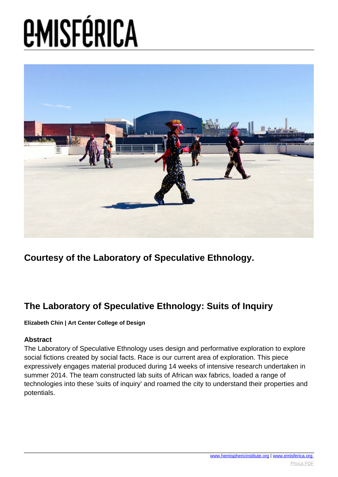

**Courtesy of the Laboratory of Speculative Ethnology.**

### **The Laboratory of Speculative Ethnology: Suits of Inquiry**

#### **Elizabeth Chin | Art Center College of Design**

#### **Abstract**

The Laboratory of Speculative Ethnology uses design and performative exploration to explore social fictions created by social facts. Race is our current area of exploration. This piece expressively engages material produced during 14 weeks of intensive research undertaken in summer 2014. The team constructed lab suits of African wax fabrics, loaded a range of technologies into these 'suits of inquiry' and roamed the city to understand their properties and potentials.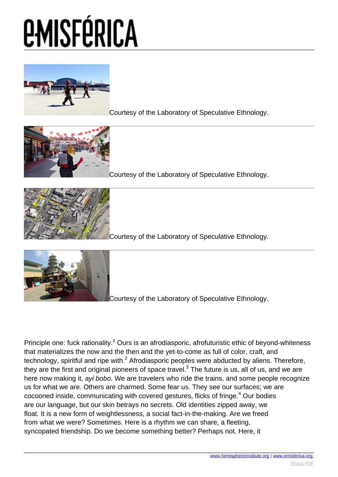

[C](images/e-misferica/11.2_images/112_lg_chin_01.jpg)ourtesy of the Laboratory of Speculative Ethnology.



[C](images/e-misferica/11.2_images/112_lg_chin_02.jpg)ourtesy of the Laboratory of Speculative Ethnology.



[C](images/e-misferica/11.2_images/112_lg_chin_03.jpg)ourtesy of the Laboratory of Speculative Ethnology.



[C](images/e-misferica/11.2_images/112_lg_chin_04.jpg)ourtesy of the Laboratory of Speculative Ethnology.

Principle one: fuck rationality.<sup>1</sup> Ours is an afrodiasporic, afrofuturistic ethic of beyond-whiteness that materializes the now and the then and the yet-to-come as full of color, craft, and technology, spiritful and ripe with.<sup>2</sup> Afrodiasporic peoples were abducted by aliens. Therefore, they are the first and original pioneers of space travel.<sup>3</sup> The future is us, all of us, and we are here now making it, ayi bobo. We are travelers who ride the trains, and some people recognize us for what we are. Others are charmed. Some fear us. They see our surfaces; we are cocooned inside, communicating with covered gestures, flicks of fringe.<sup>4</sup> Our bodies are our language, but our skin betrays no secrets. Old identities zipped away, we float. It is a new form of weightlessness, a social fact-in-the-making. Are we freed from what we were? Sometimes. Here is a rhythm we can share, a fleeting, syncopated friendship. Do we become something better? Perhaps not. Here, it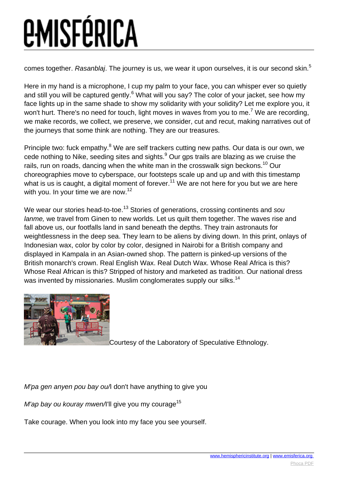comes together. Rasanblaj. The journey is us, we wear it upon ourselves, it is our second skin.<sup>5</sup>

Here in my hand is a microphone, I cup my palm to your face, you can whisper ever so quietly and still you will be captured gently.<sup>6</sup> What will you say? The color of your jacket, see how my face lights up in the same shade to show my solidarity with your solidity? Let me explore you, it won't hurt. There's no need for touch, light moves in waves from you to me.<sup>7</sup> We are recording, we make records, we collect, we preserve, we consider, cut and recut, making narratives out of the journeys that some think are nothing. They are our treasures.

Principle two: fuck empathy.<sup>8</sup> We are self trackers cutting new paths. Our data is our own, we cede nothing to Nike, seeding sites and sights. $9$  Our gps trails are blazing as we cruise the rails, run on roads, dancing when the white man in the crosswalk sign beckons.<sup>10</sup> Our choreographies move to cyberspace, our footsteps scale up and up and with this timestamp what is us is caught, a digital moment of forever.<sup>11</sup> We are not here for you but we are here with you. In your time we are now.<sup>12</sup>

We wear our stories head-to-toe.<sup>13</sup> Stories of generations, crossing continents and sou lanme, we travel from Ginen to new worlds. Let us quilt them together. The waves rise and fall above us, our footfalls land in sand beneath the depths. They train astronauts for weightlessness in the deep sea. They learn to be aliens by diving down. In this print, onlays of Indonesian wax, color by color by color, designed in Nairobi for a British company and displayed in Kampala in an Asian-owned shop. The pattern is pinked-up versions of the British monarch's crown. Real English Wax. Real Dutch Wax. Whose Real Africa is this? Whose Real African is this? Stripped of history and marketed as tradition. Our national dress was invented by missionaries. Muslim conglomerates supply our silks.<sup>14</sup>



[C](images/e-misferica/11.2_images/112_lg_chin_05.jpg)ourtesy of the Laboratory of Speculative Ethnology.

 $M'$ pa gen anyen pou bay ou $\Lambda$  don't have anything to give you

M'ap bay ou kouray mwen/I'll give you my courage<sup>15</sup>

Take courage. When you look into my face you see yourself.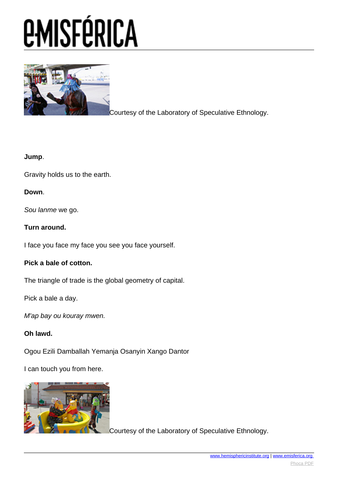

[C](images/e-misferica/11.2_images/112_lg_chin_06.jpg)ourtesy of the Laboratory of Speculative Ethnology.

### **Jump**.

Gravity holds us to the earth.

### **Down**.

Sou lanme we go.

### **Turn around.**

I face you face my face you see you face yourself.

#### **Pick a bale of cotton.**

The triangle of trade is the global geometry of capital.

Pick a bale a day.

M'ap bay ou kouray mwen.

### **Oh lawd.**

Ogou Ezili Damballah Yemanja Osanyin Xango Dantor

I can touch you from here.



[C](images/e-misferica/11.2_images/112_lg_chin_07.jpg)ourtesy of the Laboratory of Speculative Ethnology.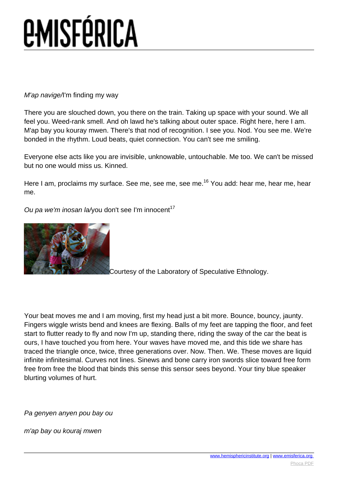M'ap navige/I'm finding my way

There you are slouched down, you there on the train. Taking up space with your sound. We all feel you. Weed-rank smell. And oh lawd he's talking about outer space. Right here, here I am. M'ap bay you kouray mwen. There's that nod of recognition. I see you. Nod. You see me. We're bonded in the rhythm. Loud beats, quiet connection. You can't see me smiling.

Everyone else acts like you are invisible, unknowable, untouchable. Me too. We can't be missed but no one would miss us. Kinned.

Here I am, proclaims my surface. See me, see me, see me.<sup>16</sup> You add: hear me, hear me, hear me.

Ou pa we'm inosan la/you don't see I'm innocent<sup>17</sup>



[C](images/e-misferica/11.2_images/112_lg_chin_08.jpg)ourtesy of the Laboratory of Speculative Ethnology.

Your beat moves me and I am moving, first my head just a bit more. Bounce, bouncy, jaunty. Fingers wiggle wrists bend and knees are flexing. Balls of my feet are tapping the floor, and feet start to flutter ready to fly and now I'm up, standing there, riding the sway of the car the beat is ours, I have touched you from here. Your waves have moved me, and this tide we share has traced the triangle once, twice, three generations over. Now. Then. We. These moves are liquid infinite infinitesimal. Curves not lines. Sinews and bone carry iron swords slice toward free form free from free the blood that binds this sense this sensor sees beyond. Your tiny blue speaker blurting volumes of hurt.

Pa genyen anyen pou bay ou

m'ap bay ou kouraj mwen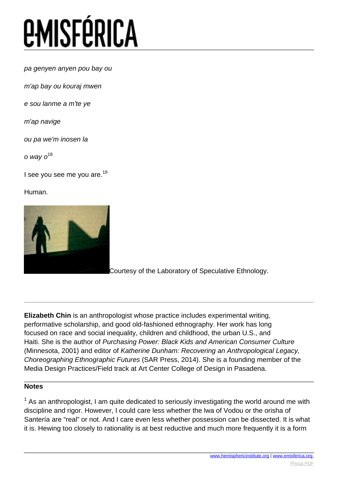pa genyen anyen pou bay ou

m'ap bay ou kouraj mwen

e sou lanme a m'te ye

m'ap navige

ou pa we'm inosen la

o way  $o^{18}$ 

I see you see me you are.<sup>19</sup>

Human.



[C](images/e-misferica/11.2_images/112_lg_chin_09.jpg)ourtesy of the Laboratory of Speculative Ethnology.

**Elizabeth Chin** is an anthropologist whose practice includes experimental writing, performative scholarship, and good old-fashioned ethnography. Her work has long focused on race and social inequality, children and childhood, the urban U.S., and Haiti. She is the author of Purchasing Power: Black Kids and American Consumer Culture (Minnesota, 2001) and editor of Katherine Dunham: Recovering an Anthropological Legacy, Choreographing Ethnographic Futures (SAR Press, 2014). She is a founding member of the Media Design Practices/Field track at Art Center College of Design in Pasadena.

### **Notes**

 $1$  As an anthropologist, I am quite dedicated to seriously investigating the world around me with discipline and rigor. However, I could care less whether the lwa of Vodou or the orisha of Santería are "real" or not. And I care even less whether possession can be dissected. It is what it is. Hewing too closely to rationality is at best reductive and much more frequently it is a form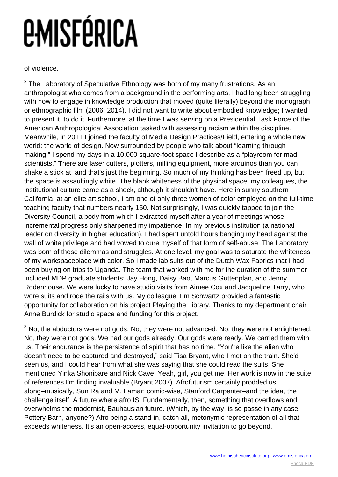of violence.

 $2$  The Laboratory of Speculative Ethnology was born of my many frustrations. As an anthropologist who comes from a background in the performing arts, I had long been struggling with how to engage in knowledge production that moved (quite literally) beyond the monograph or ethnographic film (2006; 2014). I did not want to write about embodied knowledge; I wanted to present it, to do it. Furthermore, at the time I was serving on a Presidential Task Force of the American Anthropological Association tasked with assessing racism within the discipline. Meanwhile, in 2011 I joined the faculty of Media Design Practices/Field, entering a whole new world: the world of design. Now surrounded by people who talk about "learning through making," I spend my days in a 10,000 square-foot space I describe as a "playroom for mad scientists." There are laser cutters, plotters, milling equipment, more arduinos than you can shake a stick at, and that's just the beginning. So much of my thinking has been freed up, but the space is assaultingly white. The blank whiteness of the physical space, my colleagues, the institutional culture came as a shock, although it shouldn't have. Here in sunny southern California, at an elite art school, I am one of only three women of color employed on the full-time teaching faculty that numbers nearly 150. Not surprisingly, I was quickly tapped to join the Diversity Council, a body from which I extracted myself after a year of meetings whose incremental progress only sharpened my impatience. In my previous institution (a national leader on diversity in higher education), I had spent untold hours banging my head against the wall of white privilege and had vowed to cure myself of that form of self-abuse. The Laboratory was born of those dilemmas and struggles. At one level, my goal was to saturate the whiteness of my workspaceplace with color. So I made lab suits out of the Dutch Wax Fabrics that I had been buying on trips to Uganda. The team that worked with me for the duration of the summer included MDP graduate students: Jay Hong, Daisy Bao, Marcus Guttenplan, and Jenny Rodenhouse. We were lucky to have studio visits from Aimee Cox and Jacqueline Tarry, who wore suits and rode the rails with us. My colleague Tim Schwartz provided a fantastic opportunity for collaboration on his project Playing the Library. Thanks to my department chair Anne Burdick for studio space and funding for this project.

 $3$  No, the abductors were not gods. No, they were not advanced. No, they were not enlightened. No, they were not gods. We had our gods already. Our gods were ready. We carried them with us. Their endurance is the persistence of spirit that has no time. "You're like the alien who doesn't need to be captured and destroyed," said Tisa Bryant, who I met on the train. She'd seen us, and I could hear from what she was saying that she could read the suits. She mentioned Yinka Shonibare and Nick Cave. Yeah, girl, you get me. Her work is now in the suite of references I'm finding invaluable (Bryant 2007). Afrofuturism certainly prodded us along–musically, Sun Ra and M. Lamar; comic-wise, Stanford Carpenter–and the idea, the challenge itself. A future where afro IS. Fundamentally, then, something that overflows and overwhelms the modernist, Bauhausian future. (Which, by the way, is so passé in any case. Pottery Barn, anyone?) Afro being a stand-in, catch all, metonymic representation of all that exceeds whiteness. It's an open-access, equal-opportunity invitation to go beyond.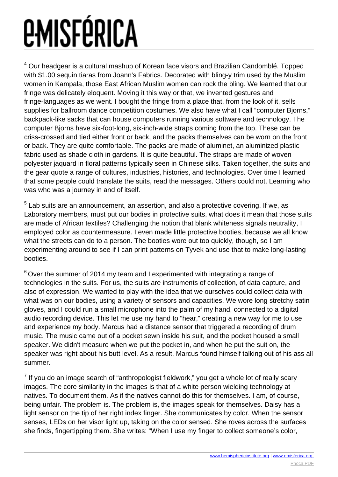$^4$  Our headgear is a cultural mashup of Korean face visors and Brazilian Candomblé. Topped with \$1.00 sequin tiaras from Joann's Fabrics. Decorated with bling-y trim used by the Muslim women in Kampala, those East African Muslim women can rock the bling. We learned that our fringe was delicately eloquent. Moving it this way or that, we invented gestures and fringe-languages as we went. I bought the fringe from a place that, from the look of it, sells supplies for ballroom dance competition costumes. We also have what I call "computer Bjorns," backpack-like sacks that can house computers running various software and technology. The computer Bjorns have six-foot-long, six-inch-wide straps coming from the top. These can be criss-crossed and tied either front or back, and the packs themselves can be worn on the front or back. They are quite comfortable. The packs are made of aluminet, an aluminized plastic fabric used as shade cloth in gardens. It is quite beautiful. The straps are made of woven polyester jaquard in floral patterns typically seen in Chinese silks. Taken together, the suits and the gear quote a range of cultures, industries, histories, and technologies. Over time I learned that some people could translate the suits, read the messages. Others could not. Learning who was who was a journey in and of itself.

 $<sup>5</sup>$  Lab suits are an announcement, an assertion, and also a protective covering. If we, as</sup> Laboratory members, must put our bodies in protective suits, what does it mean that those suits are made of African textiles? Challenging the notion that blank whiteness signals neutrality, I employed color as countermeasure. I even made little protective booties, because we all know what the streets can do to a person. The booties wore out too quickly, though, so I am experimenting around to see if I can print patterns on Tyvek and use that to make long-lasting booties.

 $6$  Over the summer of 2014 my team and I experimented with integrating a range of technologies in the suits. For us, the suits are instruments of collection, of data capture, and also of expression. We wanted to play with the idea that we ourselves could collect data with what was on our bodies, using a variety of sensors and capacities. We wore long stretchy satin gloves, and I could run a small microphone into the palm of my hand, connected to a digital audio recording device. This let me use my hand to "hear," creating a new way for me to use and experience my body. Marcus had a distance sensor that triggered a recording of drum music. The music came out of a pocket sewn inside his suit, and the pocket housed a small speaker. We didn't measure when we put the pocket in, and when he put the suit on, the speaker was right about his butt level. As a result, Marcus found himself talking out of his ass all summer.

 $^7$  If you do an image search of "anthropologist fieldwork," you get a whole lot of really scary images. The core similarity in the images is that of a white person wielding technology at natives. To document them. As if the natives cannot do this for themselves. I am, of course, being unfair. The problem is. The problem is, the images speak for themselves. Daisy has a light sensor on the tip of her right index finger. She communicates by color. When the sensor senses, LEDs on her visor light up, taking on the color sensed. She roves across the surfaces she finds, fingertipping them. She writes: "When I use my finger to collect someone's color,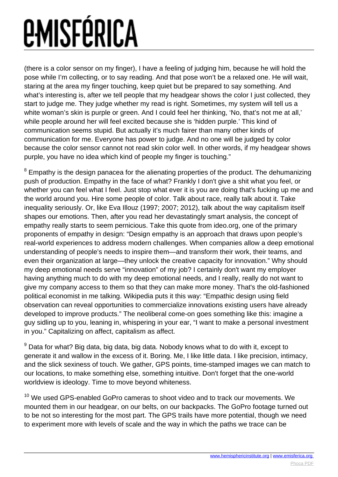(there is a color sensor on my finger), I have a feeling of judging him, because he will hold the pose while I'm collecting, or to say reading. And that pose won't be a relaxed one. He will wait, staring at the area my finger touching, keep quiet but be prepared to say something. And what's interesting is, after we tell people that my headgear shows the color I just collected, they start to judge me. They judge whether my read is right. Sometimes, my system will tell us a white woman's skin is purple or green. And I could feel her thinking, 'No, that's not me at all,' while people around her will feel excited because she is 'hidden purple.' This kind of communication seems stupid. But actually it's much fairer than many other kinds of communication for me. Everyone has power to judge. And no one will be judged by color because the color sensor cannot not read skin color well. In other words, if my headgear shows purple, you have no idea which kind of people my finger is touching."

 $8$  Empathy is the design panacea for the alienating properties of the product. The dehumanizing push of production. Empathy in the face of what? Frankly I don't give a shit what you feel, or whether you can feel what I feel. Just stop what ever it is you are doing that's fucking up me and the world around you. Hire some people of color. Talk about race, really talk about it. Take inequality seriously. Or, like Eva Illouz (1997; 2007; 2012), talk about the way capitalism itself shapes our emotions. Then, after you read her devastatingly smart analysis, the concept of empathy really starts to seem pernicious. Take this quote from ideo.org, one of the primary proponents of empathy in design: "Design empathy is an approach that draws upon people's real-world experiences to address modern challenges. When companies allow a deep emotional understanding of people's needs to inspire them—and transform their work, their teams, and even their organization at large—they unlock the creative capacity for innovation." Why should my deep emotional needs serve "innovation" of my job? I certainly don't want my employer having anything much to do with my deep emotional needs, and I really, really do not want to give my company access to them so that they can make more money. That's the old-fashioned political economist in me talking. Wikipedia puts it this way: "Empathic design using field observation can reveal opportunities to commercialize innovations existing users have already developed to improve products." The neoliberal come-on goes something like this: imagine a guy sidling up to you, leaning in, whispering in your ear, "I want to make a personal investment in you." Capitalizing on affect, capitalism as affect.

 $^9$  Data for what? Big data, big data, big data. Nobody knows what to do with it, except to generate it and wallow in the excess of it. Boring. Me, I like little data. I like precision, intimacy, and the slick sexiness of touch. We gather, GPS points, time-stamped images we can match to our locations, to make something else, something intuitive. Don't forget that the one-world worldview is ideology. Time to move beyond whiteness.

<sup>10</sup> We used GPS-enabled GoPro cameras to shoot video and to track our movements. We mounted them in our headgear, on our belts, on our backpacks. The GoPro footage turned out to be not so interesting for the most part. The GPS trails have more potential, though we need to experiment more with levels of scale and the way in which the paths we trace can be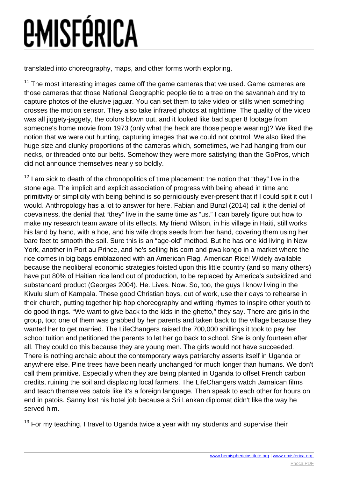translated into choreography, maps, and other forms worth exploring.

 $11$  The most interesting images came off the game cameras that we used. Game cameras are those cameras that those National Geographic people tie to a tree on the savannah and try to capture photos of the elusive jaguar. You can set them to take video or stills when something crosses the motion sensor. They also take infrared photos at nighttime. The quality of the video was all jiggety-jaggety, the colors blown out, and it looked like bad super 8 footage from someone's home movie from 1973 (only what the heck are those people wearing)? We liked the notion that we were out hunting, capturing images that we could not control. We also liked the huge size and clunky proportions of the cameras which, sometimes, we had hanging from our necks, or threaded onto our belts. Somehow they were more satisfying than the GoPros, which did not announce themselves nearly so boldly.

 $12$  I am sick to death of the chronopolitics of time placement: the notion that "they" live in the stone age. The implicit and explicit association of progress with being ahead in time and primitivity or simplicity with being behind is so perniciously ever-present that if I could spit it out I would. Anthropology has a lot to answer for here. Fabian and Bunzl (2014) call it the denial of coevalness, the denial that "they" live in the same time as "us." I can barely figure out how to make my research team aware of its effects. My friend Wilson, in his village in Haiti, still works his land by hand, with a hoe, and his wife drops seeds from her hand, covering them using her bare feet to smooth the soil. Sure this is an "age-old" method. But he has one kid living in New York, another in Port au Prince, and he's selling his corn and pwa kongo in a market where the rice comes in big bags emblazoned with an American Flag. American Rice! Widely available because the neoliberal economic strategies foisted upon this little country (and so many others) have put 80% of Haitian rice land out of production, to be replaced by America's subsidized and substandard product (Georges 2004). He. Lives. Now. So, too, the guys I know living in the Kivulu slum of Kampala. These good Christian boys, out of work, use their days to rehearse in their church, putting together hip hop choreography and writing rhymes to inspire other youth to do good things. "We want to give back to the kids in the ghetto," they say. There are girls in the group, too; one of them was grabbed by her parents and taken back to the village because they wanted her to get married. The LifeChangers raised the 700,000 shillings it took to pay her school tuition and petitioned the parents to let her go back to school. She is only fourteen after all. They could do this because they are young men. The girls would not have succeeded. There is nothing archaic about the contemporary ways patriarchy asserts itself in Uganda or anywhere else. Pine trees have been nearly unchanged for much longer than humans. We don't call them primitive. Especially when they are being planted in Uganda to offset French carbon credits, ruining the soil and displacing local farmers. The LifeChangers watch Jamaican films and teach themselves patois like it's a foreign language. Then speak to each other for hours on end in patois. Sanny lost his hotel job because a Sri Lankan diplomat didn't like the way he served him.

 $13$  For my teaching, I travel to Uganda twice a year with my students and supervise their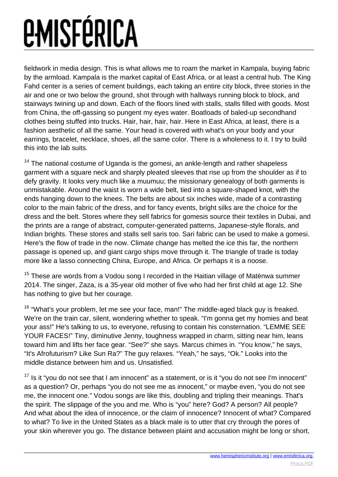fieldwork in media design. This is what allows me to roam the market in Kampala, buying fabric by the armload. Kampala is the market capital of East Africa, or at least a central hub. The King Fahd center is a series of cement buildings, each taking an entire city block, three stories in the air and one or two below the ground, shot through with hallways running block to block, and stairways twining up and down. Each of the floors lined with stalls, stalls filled with goods. Most from China, the off-gassing so pungent my eyes water. Boatloads of baled-up secondhand clothes being stuffed into trucks. Hair, hair, hair, hair. Here in East Africa, at least, there is a fashion aesthetic of all the same. Your head is covered with what's on your body and your earrings, bracelet, necklace, shoes, all the same color. There is a wholeness to it. I try to build this into the lab suits.

 $14$  The national costume of Uganda is the gomesi, an ankle-length and rather shapeless garment with a square neck and sharply pleated sleeves that rise up from the shoulder as if to defy gravity. It looks very much like a muumuu; the missionary genealogy of both garments is unmistakable. Around the waist is worn a wide belt, tied into a square-shaped knot, with the ends hanging down to the knees. The belts are about six inches wide, made of a contrasting color to the main fabric of the dress, and for fancy events, bright silks are the choice for the dress and the belt. Stores where they sell fabrics for gomesis source their textiles in Dubai, and the prints are a range of abstract, computer-generated patterns, Japanese-style florals, and Indian brights. These stores and stalls sell saris too. Sari fabric can be used to make a gomesi. Here's the flow of trade in the now. Climate change has melted the ice this far, the northern passage is opened up, and giant cargo ships move through it. The triangle of trade is today more like a lasso connecting China, Europe, and Africa. Or perhaps it is a noose.

<sup>15</sup> These are words from a Vodou song I recorded in the Haitian village of Matènwa summer 2014. The singer, Zaza, is a 35-year old mother of five who had her first child at age 12. She has nothing to give but her courage.

<sup>16</sup> "What's your problem, let me see your face, man!" The middle-aged black guy is freaked. We're on the train car, silent, wondering whether to speak. "I'm gonna get my homies and beat your ass!" He's talking to us, to everyone, refusing to contain his consternation. "LEMME SEE YOUR FACES!" Tiny, diminutive Jenny, toughness wrapped in charm, sitting near him, leans toward him and lifts her face gear. "See?" she says. Marcus chimes in. "You know," he says, "It's Afrofuturism? Like Sun Ra?" The guy relaxes. "Yeah," he says, "Ok." Looks into the middle distance between him and us. Unsatisfied.

 $17$  Is it "you do not see that I am innocent" as a statement, or is it "you do not see I'm innocent" as a question? Or, perhaps "you do not see me as innocent," or maybe even, "you do not see me, the innocent one." Vodou songs are like this, doubling and tripling their meanings. That's the spirit. The slippage of the you and me. Who is "you" here? God? A person? All people? And what about the idea of innocence, or the claim of innocence? Innocent of what? Compared to what? To live in the United States as a black male is to utter that cry through the pores of your skin wherever you go. The distance between plaint and accusation might be long or short,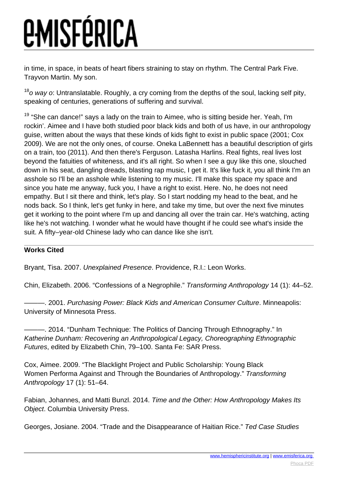in time, in space, in beats of heart fibers straining to stay on rhythm. The Central Park Five. Trayvon Martin. My son.

 $18$ o way o: Untranslatable. Roughly, a cry coming from the depths of the soul, lacking self pity, speaking of centuries, generations of suffering and survival.

 $19$  "She can dance!" says a lady on the train to Aimee, who is sitting beside her. Yeah, I'm rockin'. Aimee and I have both studied poor black kids and both of us have, in our anthropology guise, written about the ways that these kinds of kids fight to exist in public space (2001; Cox 2009). We are not the only ones, of course. Oneka LaBennett has a beautiful description of girls on a train, too (2011). And then there's Ferguson. Latasha Harlins. Real fights, real lives lost beyond the fatuities of whiteness, and it's all right. So when I see a guy like this one, slouched down in his seat, dangling dreads, blasting rap music, I get it. It's like fuck it, you all think I'm an asshole so I'll be an asshole while listening to my music. I'll make this space my space and since you hate me anyway, fuck you, I have a right to exist. Here. No, he does not need empathy. But I sit there and think, let's play. So I start nodding my head to the beat, and he nods back. So I think, let's get funky in here, and take my time, but over the next five minutes get it working to the point where I'm up and dancing all over the train car. He's watching, acting like he's not watching. I wonder what he would have thought if he could see what's inside the suit. A fifty–year-old Chinese lady who can dance like she isn't.

### **Works Cited**

Bryant, Tisa. 2007. Unexplained Presence. Providence, R.I.: Leon Works.

Chin, Elizabeth. 2006. "Confessions of a Negrophile." Transforming Anthropology 14 (1): 44–52.

-. 2001. Purchasing Power: Black Kids and American Consumer Culture. Minneapolis: University of Minnesota Press.

-. 2014. "Dunham Technique: The Politics of Dancing Through Ethnography." In Katherine Dunham: Recovering an Anthropological Legacy, Choreographing Ethnographic Futures, edited by Elizabeth Chin, 79–100. Santa Fe: SAR Press.

Cox, Aimee. 2009. "The Blacklight Project and Public Scholarship: Young Black Women Performa Against and Through the Boundaries of Anthropology." Transforming Anthropology 17 (1): 51–64.

Fabian, Johannes, and Matti Bunzl. 2014. Time and the Other: How Anthropology Makes Its Object. Columbia University Press.

Georges, Josiane. 2004. "Trade and the Disappearance of Haitian Rice." Ted Case Studies